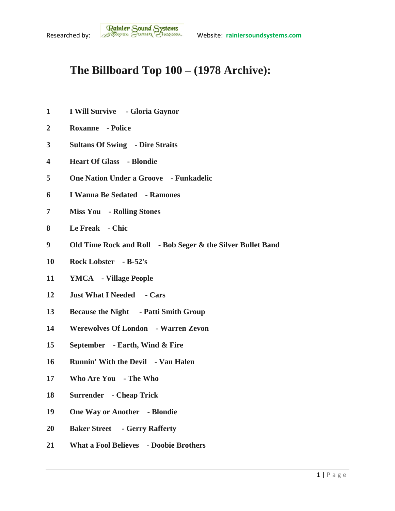## **The Billboard Top 100 – (1978 Archive):**

- **I Will Survive - Gloria Gaynor**
- **Roxanne - Police**
- **Sultans Of Swing - Dire Straits**
- **Heart Of Glass - Blondie**
- **One Nation Under a Groove - Funkadelic**
- **I Wanna Be Sedated - Ramones**
- **Miss You - Rolling Stones**
- **Le Freak - Chic**
- **Old Time Rock and Roll - Bob Seger & the Silver Bullet Band**
- **Rock Lobster - B-52's**
- **YMCA - Village People**
- **Just What I Needed - Cars**
- **Because the Night - Patti Smith Group**
- **Werewolves Of London - Warren Zevon**
- **September - Earth, Wind & Fire**
- **Runnin' With the Devil - Van Halen**
- **Who Are You - The Who**
- **Surrender - Cheap Trick**
- **One Way or Another - Blondie**
- **Baker Street - Gerry Rafferty**
- **What a Fool Believes - Doobie Brothers**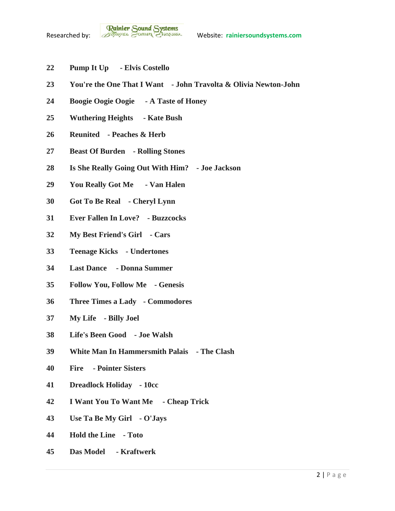- **Pump It Up - Elvis Costello**
- **You're the One That I Want - John Travolta & Olivia Newton-John**
- **Boogie Oogie Oogie - A Taste of Honey**
- **Wuthering Heights - Kate Bush**
- **Reunited - Peaches & Herb**
- **Beast Of Burden - Rolling Stones**
- **Is She Really Going Out With Him? - Joe Jackson**
- **You Really Got Me - Van Halen**
- **Got To Be Real - Cheryl Lynn**
- **Ever Fallen In Love? - Buzzcocks**
- **My Best Friend's Girl - Cars**
- **Teenage Kicks - Undertones**
- **Last Dance - Donna Summer**
- **Follow You, Follow Me - Genesis**
- **Three Times a Lady - Commodores**
- **My Life - Billy Joel**
- **Life's Been Good - Joe Walsh**
- **White Man In Hammersmith Palais - The Clash**
- **Fire - Pointer Sisters**
- **Dreadlock Holiday - 10cc**
- **I Want You To Want Me - Cheap Trick**
- **Use Ta Be My Girl - O'Jays**
- **Hold the Line - Toto**
- **Das Model - Kraftwerk**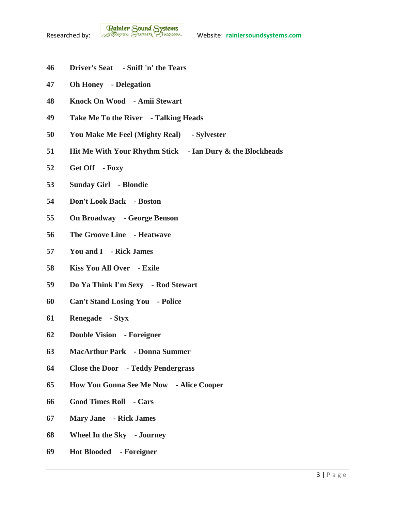- **Driver's Seat - Sniff 'n' the Tears**
- **Oh Honey - Delegation**
- **Knock On Wood - Amii Stewart**
- **Take Me To the River - Talking Heads**
- **You Make Me Feel (Mighty Real) - Sylvester**
- **Hit Me With Your Rhythm Stick - Ian Dury & the Blockheads**
- **Get Off - Foxy**
- **Sunday Girl - Blondie**
- **Don't Look Back - Boston**
- **On Broadway - George Benson**
- **The Groove Line - Heatwave**
- **You and I - Rick James**
- **Kiss You All Over - Exile**
- **Do Ya Think I'm Sexy - Rod Stewart**
- **Can't Stand Losing You - Police**
- **Renegade - Styx**
- **Double Vision - Foreigner**
- **MacArthur Park - Donna Summer**
- **Close the Door - Teddy Pendergrass**
- **How You Gonna See Me Now - Alice Cooper**
- **Good Times Roll - Cars**
- **Mary Jane - Rick James**
- **Wheel In the Sky - Journey**
- **Hot Blooded - Foreigner**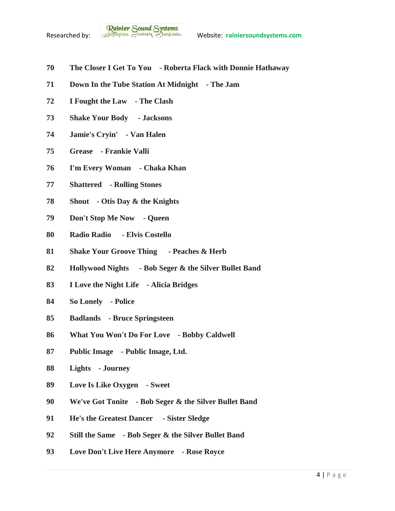- **The Closer I Get To You - Roberta Flack with Donnie Hathaway**
- **Down In the Tube Station At Midnight - The Jam**
- **I Fought the Law - The Clash**
- **Shake Your Body - Jacksons**
- **Jamie's Cryin' - Van Halen**
- **Grease - Frankie Valli**
- **I'm Every Woman - Chaka Khan**
- **Shattered - Rolling Stones**
- **Shout - Otis Day & the Knights**
- **Don't Stop Me Now - Queen**
- **Radio Radio - Elvis Costello**
- **Shake Your Groove Thing - Peaches & Herb**
- **Hollywood Nights - Bob Seger & the Silver Bullet Band**
- **I Love the Night Life - Alicia Bridges**
- **So Lonely - Police**
- **Badlands - Bruce Springsteen**
- **What You Won't Do For Love - Bobby Caldwell**
- **Public Image - Public Image, Ltd.**
- **Lights - Journey**
- **Love Is Like Oxygen - Sweet**
- **We've Got Tonite - Bob Seger & the Silver Bullet Band**
- **He's the Greatest Dancer - Sister Sledge**
- **Still the Same - Bob Seger & the Silver Bullet Band**
- **Love Don't Live Here Anymore - Rose Royce**